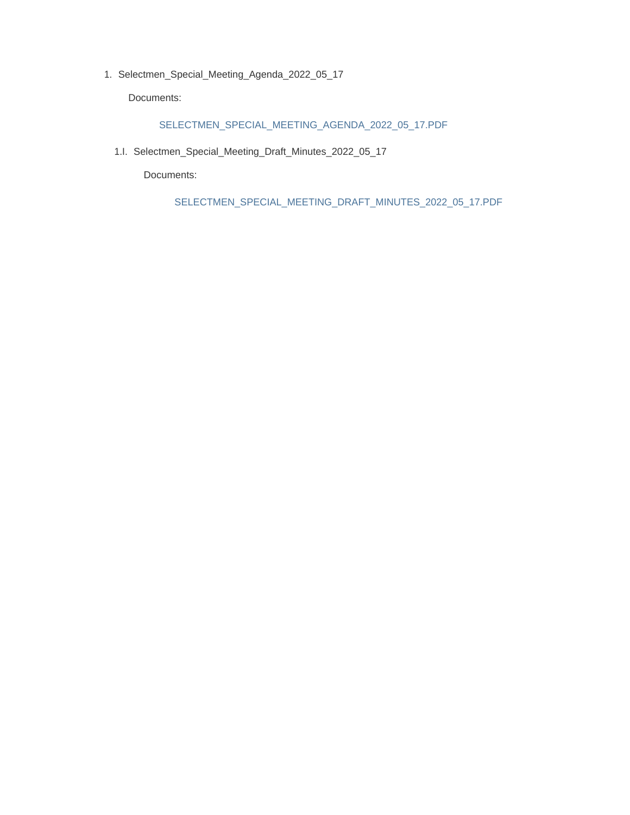1. Selectmen\_Special\_Meeting\_Agenda\_2022\_05\_17

Documents:

#### SELECTMEN\_SPECIAL\_MEETING\_AGENDA\_2022\_05\_17.PDF

1.I. Selectmen\_Special\_Meeting\_Draft\_Minutes\_2022\_05\_17

Documents:

SELECTMEN\_SPECIAL\_MEETING\_DRAFT\_MINUTES\_2022\_05\_17.PDF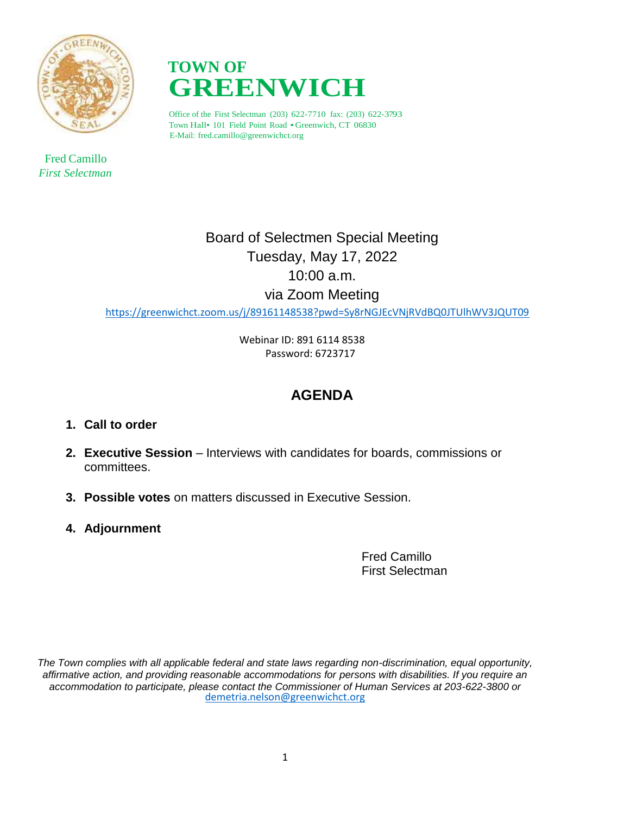

 Fred Camillo *First Selectman*



Office of the First Selectman (203) 622-7710 fax: (203) 622-3793 Town Hall• <sup>101</sup> Field Point Road •Greenwich, CT 06830 E-Mail: fred.camillo@greenwichct.org

> Board of Selectmen Special Meeting Tuesday, May 17, 2022 10:00 a.m. via Zoom Meeting

<https://greenwichct.zoom.us/j/89161148538?pwd=Sy8rNGJEcVNjRVdBQ0JTUlhWV3JQUT09>

 Webinar ID: 891 6114 8538 Password: 6723717

## **AGENDA**

- **1. Call to order**
- **2. Executive Session** Interviews with candidates for boards, commissions or committees.
- **3. Possible votes** on matters discussed in Executive Session.
- **4. Adjournment**

Fred Camillo First Selectman

*The Town complies with all applicable federal and state laws regarding non-discrimination, equal opportunity, affirmative action, and providing reasonable accommodations for persons with disabilities. If you require an accommodation to participate, please contact the Commissioner of Human Services at 203-622-3800 or* [demetria.nelson@greenwichct.org](mailto:demetria.nelson@greenwichct.org)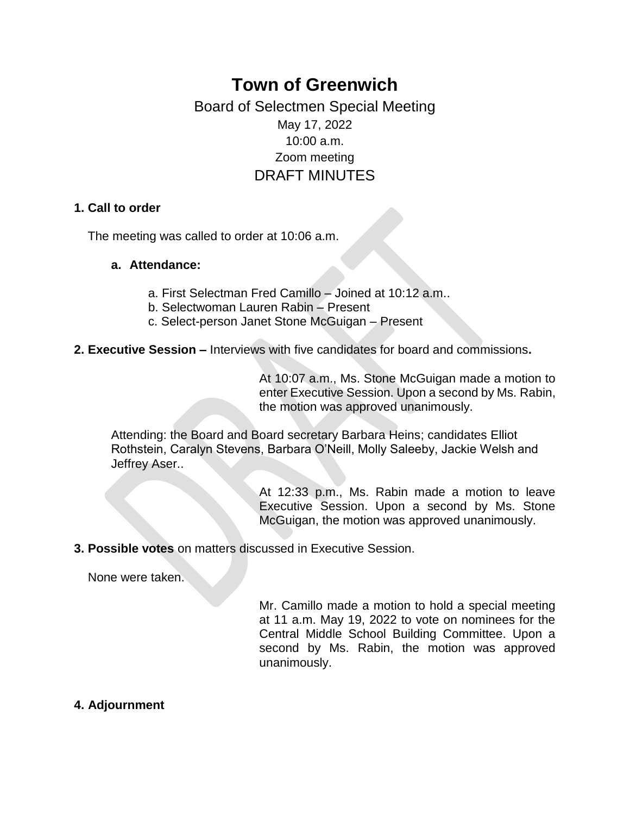# **Town of Greenwich** Board of Selectmen Special Meeting

### May 17, 2022 10:00 a.m. Zoom meeting DRAFT MINUTES

#### **1. Call to order**

The meeting was called to order at 10:06 a.m.

#### **a. Attendance:**

- a. First Selectman Fred Camillo Joined at 10:12 a.m..
- b. Selectwoman Lauren Rabin Present
- c. Select-person Janet Stone McGuigan Present
- **2. Executive Session –** Interviews with five candidates for board and commissions**.**

At 10:07 a.m., Ms. Stone McGuigan made a motion to enter Executive Session. Upon a second by Ms. Rabin, the motion was approved unanimously.

Attending: the Board and Board secretary Barbara Heins; candidates Elliot Rothstein, Caralyn Stevens, Barbara O'Neill, Molly Saleeby, Jackie Welsh and Jeffrey Aser..

> At 12:33 p.m., Ms. Rabin made a motion to leave Executive Session. Upon a second by Ms. Stone McGuigan, the motion was approved unanimously.

**3. Possible votes** on matters discussed in Executive Session.

None were taken.

Mr. Camillo made a motion to hold a special meeting at 11 a.m. May 19, 2022 to vote on nominees for the Central Middle School Building Committee. Upon a second by Ms. Rabin, the motion was approved unanimously.

**4. Adjournment**